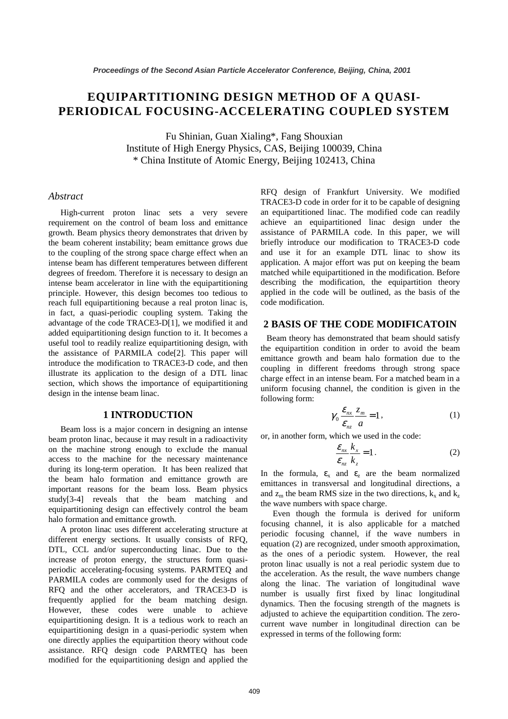# **EQUIPARTITIONING DESIGN METHOD OF A QUASI-PERIODICAL FOCUSING-ACCELERATING COUPLED SYSTEM**

Fu Shinian, Guan Xialing\*, Fang Shouxian Institute of High Energy Physics, CAS, Beijing 100039, China \* China Institute of Atomic Energy, Beijing 102413, China

#### *Abstract*

High-current proton linac sets a very severe requirement on the control of beam loss and emittance growth. Beam physics theory demonstrates that driven by the beam coherent instability; beam emittance grows due to the coupling of the strong space charge effect when an intense beam has different temperatures between different degrees of freedom. Therefore it is necessary to design an intense beam accelerator in line with the equipartitioning principle. However, this design becomes too tedious to reach full equipartitioning because a real proton linac is, in fact, a quasi-periodic coupling system. Taking the advantage of the code TRACE3-D[1], we modified it and added equipartitioning design function to it. It becomes a useful tool to readily realize equipartitioning design, with the assistance of PARMILA code[2]. This paper will introduce the modification to TRACE3-D code, and then illustrate its application to the design of a DTL linac section, which shows the importance of equipartitioning design in the intense beam linac.

## **1 INTRODUCTION**

Beam loss is a major concern in designing an intense beam proton linac, because it may result in a radioactivity on the machine strong enough to exclude the manual access to the machine for the necessary maintenance during its long-term operation. It has been realized that the beam halo formation and emittance growth are important reasons for the beam loss. Beam physics study[3-4] reveals that the beam matching and equipartitioning design can effectively control the beam halo formation and emittance growth.

A proton linac uses different accelerating structure at different energy sections. It usually consists of RFQ, DTL, CCL and/or superconducting linac. Due to the increase of proton energy, the structures form quasiperiodic accelerating-focusing systems. PARMTEQ and PARMILA codes are commonly used for the designs of RFQ and the other accelerators, and TRACE3-D is frequently applied for the beam matching design. However, these codes were unable to achieve equipartitioning design. It is a tedious work to reach an equipartitioning design in a quasi-periodic system when one directly applies the equipartition theory without code assistance. RFQ design code PARMTEQ has been modified for the equipartitioning design and applied the RFQ design of Frankfurt University. We modified TRACE3-D code in order for it to be capable of designing an equipartitioned linac. The modified code can readily achieve an equipartitioned linac design under the assistance of PARMILA code. In this paper, we will briefly introduce our modification to TRACE3-D code and use it for an example DTL linac to show its application. A major effort was put on keeping the beam matched while equipartitioned in the modification. Before describing the modification, the equipartition theory applied in the code will be outlined, as the basis of the code modification.

## **2 BASIS OF THE CODE MODIFICATOIN**

Beam theory has demonstrated that beam should satisfy the equipartition condition in order to avoid the beam emittance growth and beam halo formation due to the coupling in different freedoms through strong space charge effect in an intense beam. For a matched beam in a uniform focusing channel, the condition is given in the following form:

$$
\gamma_0 \frac{\mathcal{E}_{nx}}{\mathcal{E}_{nz}} \frac{z_m}{a} = 1, \qquad (1)
$$

or, in another form, which we used in the code:

$$
\frac{\mathcal{E}_{nx}}{\mathcal{E}_{nz}} \frac{k_x}{k_z} = 1.
$$
 (2)

In the formula,  $\varepsilon_x$  and  $\varepsilon_z$  are the beam normalized emittances in transversal and longitudinal directions, a and  $z_m$  the beam RMS size in the two directions,  $k_x$  and  $k_z$ the wave numbers with space charge.

Even though the formula is derived for uniform focusing channel, it is also applicable for a matched periodic focusing channel, if the wave numbers in equation (2) are recognized, under smooth approximation, as the ones of a periodic system. However, the real proton linac usually is not a real periodic system due to the acceleration. As the result, the wave numbers change along the linac. The variation of longitudinal wave number is usually first fixed by linac longitudinal dynamics. Then the focusing strength of the magnets is adjusted to achieve the equipartition condition. The zerocurrent wave number in longitudinal direction can be expressed in terms of the following form: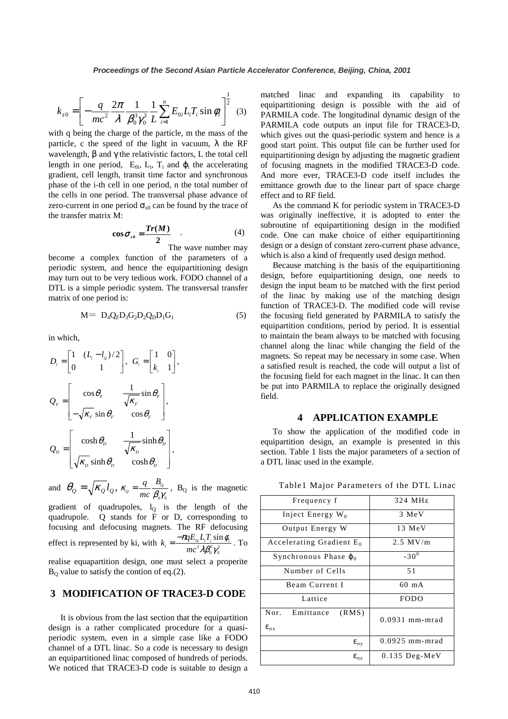$$
k_{z0} = \left[ -\frac{q}{mc^2} \frac{2\pi}{\lambda} \frac{1}{\beta_0^3 \gamma_0^3} \frac{1}{L} \sum_{i=1}^n E_{0i} L_i T_i \sin \phi_i \right]^{\frac{1}{2}} \quad (3)
$$

with q being the charge of the particle, m the mass of the particle, c the speed of the light in vacuum,  $\lambda$  the RF wavelength,  $\beta$  and  $\gamma$  the relativistic factors, L the total cell length in one period,  $E_{0i}$ ,  $L_i$ ,  $T_i$  and  $\varphi_i$  the accelerating gradient, cell length, transit time factor and synchronous phase of the i-th cell in one period, n the total number of the cells in one period. The transversal phase advance of zero-current in one period  $\sigma_{x0}$  can be found by the trace of the transfer matrix M:

$$
\cos \sigma_{x_0} = \frac{Tr(M)}{2} \tag{4}
$$

The wave number may

become a complex function of the parameters of a periodic system, and hence the equipartitioning design may turn out to be very tedious work. FODO channel of a DTL is a simple periodic system. The transversal transfer matrix of one period is:

$$
M = D_4 Q_F D_3 G_2 D_2 Q_D D_1 G_1 \tag{5}
$$

in which,

$$
D_{i} = \begin{bmatrix} 1 & (L_{i} - l_{o})/2 \\ 0 & 1 \end{bmatrix}, G_{i} = \begin{bmatrix} 1 & 0 \\ k_{i} & 1 \end{bmatrix},
$$
  
\n
$$
Q_{F} = \begin{bmatrix} \cos \theta_{F} & \frac{1}{\sqrt{\kappa_{F}}} \sin \theta_{F} \\ -\sqrt{\kappa_{F}} \sin \theta_{F} & \cos \theta_{F} \end{bmatrix},
$$
  
\n
$$
Q_{D} = \begin{bmatrix} \cosh \theta_{D} & \frac{1}{\sqrt{\kappa_{D}}} \sinh \theta_{D} \\ \sqrt{\kappa_{D}} \sinh \theta_{D} & \cosh \theta_{D} \end{bmatrix},
$$

and  $\theta_{Q} = \sqrt{\kappa_{Q} l_{Q}}$ ,  $\kappa_{Q} = \frac{q}{mc} \frac{B_{Q}}{\beta_{0} \gamma_{0}}$  $K_Q = \frac{q}{q} \frac{B_Q}{Q}$ *B*  $=\frac{q}{mc}\frac{B_{\varrho}}{\beta_0\gamma_0}$ , B<sub>Q</sub> is the magnetic gradient of quadrupoles,  $l<sub>Q</sub>$  is the length of the quadrupole. Q stands for F or D, corresponding to focusing and defocusing magnets. The RF defocusing effect is represented by ki, with  $k_i = \frac{-\pi q E_{0i} L_i T_i \sin \theta}{mc^2 \lambda \beta_0^3 \gamma_0^3}$  $\lambda \beta_{\scriptscriptstyle 0}^{\scriptscriptstyle 3} \gamma_{\scriptscriptstyle 0}^{\scriptscriptstyle 3}$  $\pi q E_{\alpha i} L_i T_i \sin \phi_i$  $k_i = \frac{-\pi q E_{0i} L_i T_i \sin \phi_i}{mc^2 \lambda \beta_0^3 \gamma_0^3}$ . To

realise equapartition design, one must select a properite  $B<sub>0</sub>$  value to satisfy the contion of eq.(2).

## **3 MODIFICATION OF TRACE3-D CODE**

It is obvious from the last section that the equipartition design is a rather complicated procedure for a quasiperiodic system, even in a simple case like a FODO channel of a DTL linac. So a code is necessary to design an equipartitioned linac composed of hundreds of periods. We noticed that TRACE3-D code is suitable to design a matched linac and expanding its capability to equipartitioning design is possible with the aid of PARMILA code. The longitudinal dynamic design of the PARMILA code outputs an input file for TRACE3-D, which gives out the quasi-periodic system and hence is a good start point. This output file can be further used for equipartitioning design by adjusting the magnetic gradient of focusing magnets in the modified TRACE3-D code. And more ever, TRACE3-D code itself includes the emittance growth due to the linear part of space charge effect and to RF field.

As the command K for periodic system in TRACE3-D was originally ineffective, it is adopted to enter the subroutine of equipartitioning design in the modified code. One can make choice of either equipartitioning design or a design of constant zero-current phase advance, which is also a kind of frequently used design method.

Because matching is the basis of the equipartitioning design, before equipartitioning design, one needs to design the input beam to be matched with the first period of the linac by making use of the matching design function of TRACE3-D. The modified code will revise the focusing field generated by PARMILA to satisfy the equipartition conditions, period by period. It is essential to maintain the beam always to be matched with focusing channel along the linac while changing the field of the magnets. So repeat may be necessary in some case. When a satisfied result is reached, the code will output a list of the focusing field for each magnet in the linac. It can then be put into PARMILA to replace the originally designed field.

### **4 APPLICATION EXAMPLE**

To show the application of the modified code in equipartition design, an example is presented in this section. Table 1 lists the major parameters of a section of a DTL linac used in the example.

| Frequency f                                | 324 MHz          |
|--------------------------------------------|------------------|
| Inject Energy $W_0$                        | 3 MeV            |
| Output Energy W                            | 13 MeV           |
| Accelerating Gradient E <sub>0</sub>       | $2.5$ MV/m       |
| Synchronous Phase $\varphi_0$              | $-30^0$          |
| Number of Cells                            | 51               |
| Beam Current I                             | $60 \text{ mA}$  |
| Lattice                                    | <b>FODO</b>      |
| Nor. Emittance<br>(RMS)<br>$\epsilon_{nx}$ | $0.0931$ mm-mrad |
| $\epsilon_{\rm nv}$                        | $0.0925$ mm-mrad |
| $\epsilon_{nz}$                            | $0.135$ Deg-MeV  |
|                                            |                  |

Table1 Major Parameters of the DTL Linac